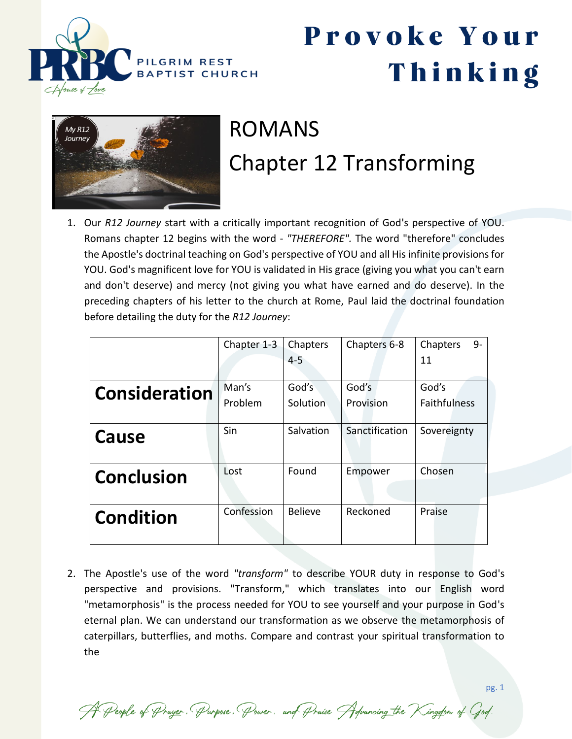



#### ROMANS Chapter 12 Transforming

1. Our *R12 Journey* start with a critically important recognition of God's perspective of YOU. Romans chapter 12 begins with the word - *"THEREFORE".* The word "therefore" concludes the Apostle's doctrinal teaching on God's perspective of YOU and all His infinite provisions for YOU. God's magnificent love for YOU is validated in His grace (giving you what you can't earn and don't deserve) and mercy (not giving you what have earned and do deserve). In the preceding chapters of his letter to the church at Rome, Paul laid the doctrinal foundation before detailing the duty for the *R12 Journey*:

|                      | Chapter 1-3      | Chapters          | Chapters 6-8       | 9-<br>Chapters               |
|----------------------|------------------|-------------------|--------------------|------------------------------|
|                      |                  | $4 - 5$           |                    | 11                           |
| <b>Consideration</b> | Man's<br>Problem | God's<br>Solution | God's<br>Provision | God's<br><b>Faithfulness</b> |
| Cause                | Sin              | Salvation         | Sanctification     | Sovereignty                  |
| <b>Conclusion</b>    | Lost             | Found             | Empower            | Chosen                       |
| <b>Condition</b>     | Confession       | <b>Believe</b>    | Reckoned           | Praise                       |

2. The Apostle's use of the word *"transform"* to describe YOUR duty in response to God's perspective and provisions. "Transform," which translates into our English word "metamorphosis" is the process needed for YOU to see yourself and your purpose in God's eternal plan. We can understand our transformation as we observe the metamorphosis of caterpillars, butterflies, and moths. Compare and contrast your spiritual transformation to the

A People of Prayer. Purpose. Power. and Praise Advancing the Kingdom of God.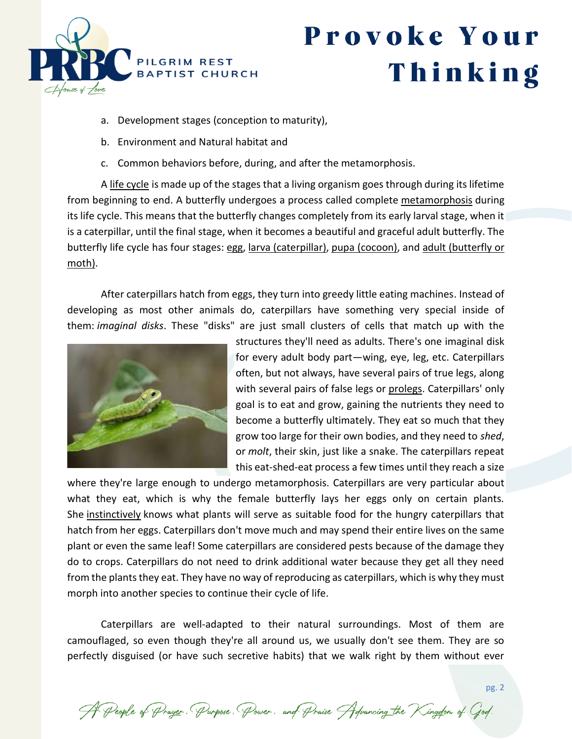

- a. Development stages (conception to maturity),
- b. Environment and Natural habitat and
- c. Common behaviors before, during, and after the metamorphosis.

A life cycle is made up of the stages that a living organism goes through during its lifetime from beginning to end. A butterfly undergoes a process called complete metamorphosis during its life cycle. This means that the butterfly changes completely from its early larval stage, when it is a caterpillar, until the final stage, when it becomes a beautiful and graceful adult butterfly. The butterfly life cycle has four stages: egg, larva (caterpillar), pupa (cocoon), and adult (butterfly or moth).

After caterpillars hatch from eggs, they turn into greedy little eating machines. Instead of developing as most other animals do, caterpillars have something very special inside of them: *imaginal disks*. These "disks" are just small clusters of cells that match up with the



structures they'll need as adults. There's one imaginal disk for every adult body part—wing, eye, leg, etc. Caterpillars often, but not always, have several pairs of true legs, along with several pairs of false legs or prolegs. Caterpillars' only goal is to eat and grow, gaining the nutrients they need to become a butterfly ultimately. They eat so much that they grow too large for their own bodies, and they need to *shed*, or *molt*, their skin, just like a snake. The caterpillars repeat this eat-shed-eat process a few times until they reach a size

where they're large enough to undergo metamorphosis. Caterpillars are very particular about what they eat, which is why the female butterfly lays her eggs only on certain plants. She instinctively knows what plants will serve as suitable food for the hungry caterpillars that hatch from her eggs. Caterpillars don't move much and may spend their entire lives on the same plant or even the same leaf! Some caterpillars are considered pests because of the damage they do to crops. Caterpillars do not need to drink additional water because they get all they need from the plants they eat. They have no way of reproducing as caterpillars, which is why they must morph into another species to continue their cycle of life.

Caterpillars are well-adapted to their natural surroundings. Most of them are camouflaged, so even though they're all around us, we usually don't see them. They are so perfectly disguised (or have such secretive habits) that we walk right by them without ever

A People of Prayer. Purpose. Power. and Praise Advancing the Kingdom of God.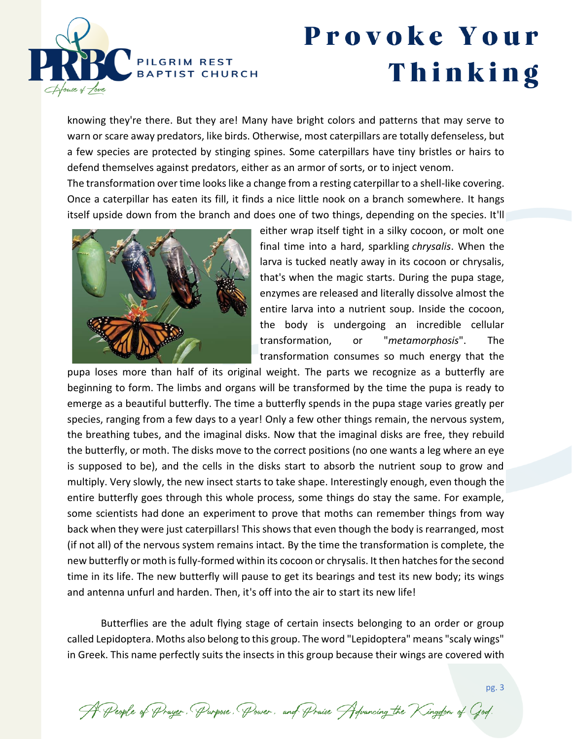

knowing they're there. But they are! Many have bright colors and patterns that may serve to warn or scare away predators, like birds. Otherwise, most caterpillars are totally defenseless, but a few species are protected by stinging spines. Some caterpillars have tiny bristles or hairs to defend themselves against predators, either as an armor of sorts, or to inject venom.

The transformation over time looks like a change from a resting caterpillar to a shell-like covering. Once a caterpillar has eaten its fill, it finds a nice little nook on a branch somewhere. It hangs itself upside down from the branch and does one of two things, depending on the species. It'll



either wrap itself tight in a silky cocoon, or molt one final time into a hard, sparkling *chrysalis*. When the larva is tucked neatly away in its cocoon or chrysalis, that's when the magic starts. During the pupa stage, enzymes are released and literally dissolve almost the entire larva into a nutrient soup. Inside the cocoon, the body is undergoing an incredible cellular transformation, or "*metamorphosis*". The transformation consumes so much energy that the

pupa loses more than half of its original weight. The parts we recognize as a butterfly are beginning to form. The limbs and organs will be transformed by the time the pupa is ready to emerge as a beautiful butterfly. The time a butterfly spends in the pupa stage varies greatly per species, ranging from a few days to a year! Only a few other things remain, the nervous system, the breathing tubes, and the imaginal disks. Now that the imaginal disks are free, they rebuild the butterfly, or moth. The disks move to the correct positions (no one wants a leg where an eye is supposed to be), and the cells in the disks start to absorb the nutrient soup to grow and multiply. Very slowly, the new insect starts to take shape. Interestingly enough, even though the entire butterfly goes through this whole process, some things do stay the same. For example, some scientists had done an [experiment](http://journals.plos.org/plosone/article?id=10.1371/journal.pone.0001736) to prove that moths can remember things from way back when they were just caterpillars! This shows that even though the body is rearranged, most (if not all) of the nervous system remains intact. By the time the transformation is complete, the new butterfly or moth is fully-formed within its cocoon or chrysalis. It then hatches for the second time in its life. The new butterfly will pause to get its bearings and test its new body; its wings and antenna unfurl and harden. Then, it's off into the air to start its new life!

Butterflies are the adult flying stage of certain insects belonging to an order or group called Lepidoptera. Moths also belong to this group. The word "Lepidoptera" means "scaly wings" in Greek. This name perfectly suits the insects in this group because their wings are covered with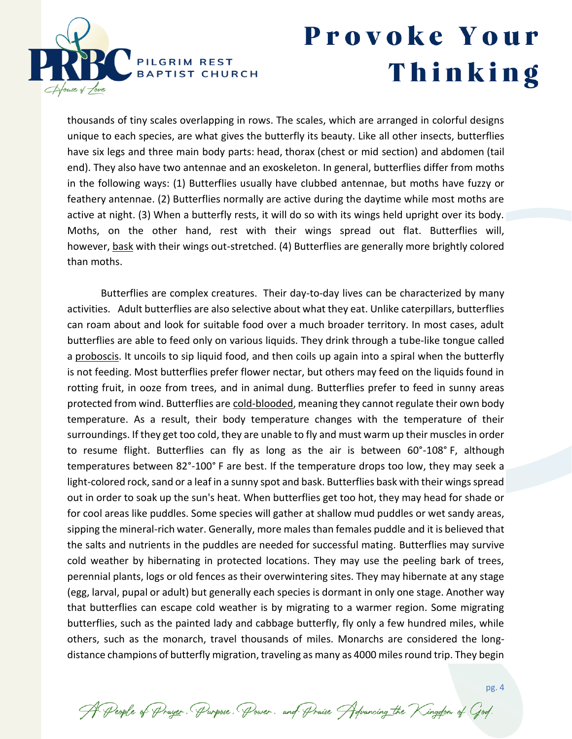

pg. 4

thousands of tiny scales overlapping in rows. The scales, which are arranged in colorful designs unique to each species, are what gives the butterfly its beauty. Like all other insects, butterflies have six legs and three main body parts: head, thorax (chest or mid section) and abdomen (tail end). They also have two antennae and an exoskeleton. In general, butterflies differ from moths in the following ways: (1) Butterflies usually have clubbed antennae, but moths have fuzzy or feathery antennae. (2) Butterflies normally are active during the daytime while most moths are active at night. (3) When a butterfly rests, it will do so with its wings held upright over its body. Moths, on the other hand, rest with their wings spread out flat. Butterflies will, however, bask with their wings out-stretched. (4) Butterflies are generally more brightly colored than moths.

Butterflies are complex creatures. Their day-to-day lives can be characterized by many activities. Adult butterflies are also selective about what they eat. Unlike caterpillars, butterflies can roam about and look for suitable food over a much broader territory. In most cases, adult butterflies are able to feed only on various liquids. They drink through a tube-like tongue called a proboscis. It uncoils to sip liquid food, and then coils up again into a spiral when the butterfly is not feeding. Most butterflies prefer flower nectar, but others may feed on the liquids found in rotting fruit, in ooze from trees, and in animal dung. Butterflies prefer to feed in sunny areas protected from wind. Butterflies are cold-blooded, meaning they cannot regulate their own body temperature. As a result, their body temperature changes with the temperature of their surroundings. If they get too cold, they are unable to fly and must warm up their muscles in order to resume flight. Butterflies can fly as long as the air is between 60°-108° F, although temperatures between 82°-100° F are best. If the temperature drops too low, they may seek a light-colored rock, sand or a leaf in a sunny spot and bask. Butterflies bask with their wings spread out in order to soak up the sun's heat. When butterflies get too hot, they may head for shade or for cool areas like puddles. Some species will gather at shallow mud puddles or wet sandy areas, sipping the mineral-rich water. Generally, more males than females puddle and it is believed that the salts and nutrients in the puddles are needed for successful mating. Butterflies may survive cold weather by hibernating in protected locations. They may use the peeling bark of trees, perennial plants, logs or old fences as their overwintering sites. They may hibernate at any stage (egg, larval, pupal or adult) but generally each species is dormant in only one stage. Another way that butterflies can escape cold weather is by migrating to a warmer region. Some migrating butterflies, such as the painted lady and cabbage butterfly, fly only a few hundred miles, while others, such as the monarch, travel thousands of miles. Monarchs are considered the longdistance champions of butterfly migration, traveling as many as 4000 miles round trip. They begin